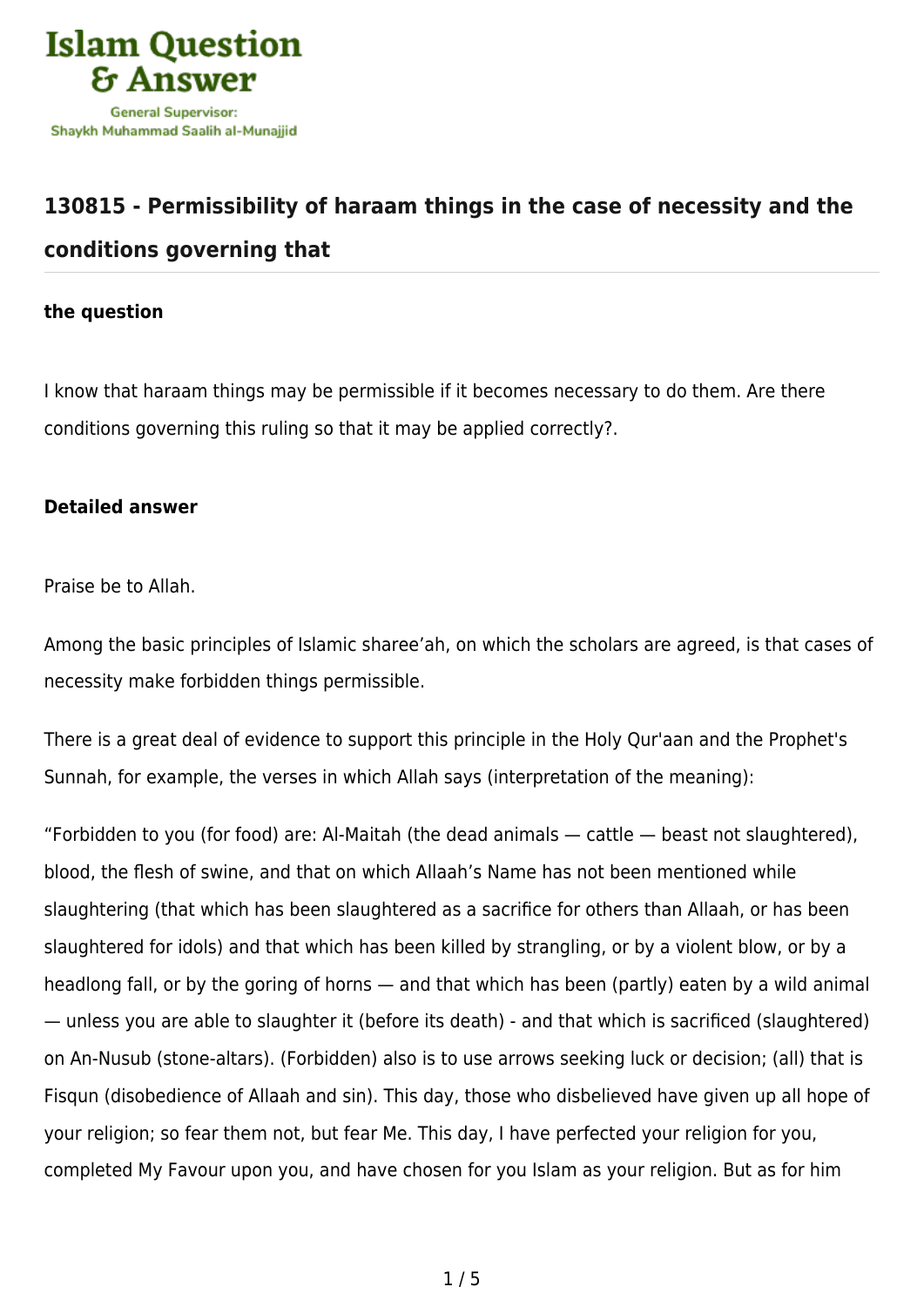

## **[130815 - Permissibility of haraam things in the case of necessity and the](https://islamqa.com/en/answers/130815/permissibility-of-haraam-things-in-the-case-of-necessity-and-the-conditions-governing-that) [conditions governing that](https://islamqa.com/en/answers/130815/permissibility-of-haraam-things-in-the-case-of-necessity-and-the-conditions-governing-that)**

## **the question**

I know that haraam things may be permissible if it becomes necessary to do them. Are there conditions governing this ruling so that it may be applied correctly?.

## **Detailed answer**

Praise be to Allah.

Among the basic principles of Islamic sharee'ah, on which the scholars are agreed, is that cases of necessity make forbidden things permissible.

There is a great deal of evidence to support this principle in the Holy Qur'aan and the Prophet's Sunnah, for example, the verses in which Allah says (interpretation of the meaning):

"Forbidden to you (for food) are: Al‑Maitah (the dead animals — cattle — beast not slaughtered), blood, the flesh of swine, and that on which Allaah's Name has not been mentioned while slaughtering (that which has been slaughtered as a sacrifice for others than Allaah, or has been slaughtered for idols) and that which has been killed by strangling, or by a violent blow, or by a headlong fall, or by the goring of horns — and that which has been (partly) eaten by a wild animal — unless you are able to slaughter it (before its death) ‑ and that which is sacrificed (slaughtered) on An‑Nusub (stone‑altars). (Forbidden) also is to use arrows seeking luck or decision; (all) that is Fisqun (disobedience of Allaah and sin). This day, those who disbelieved have given up all hope of your religion; so fear them not, but fear Me. This day, I have perfected your religion for you, completed My Favour upon you, and have chosen for you Islam as your religion. But as for him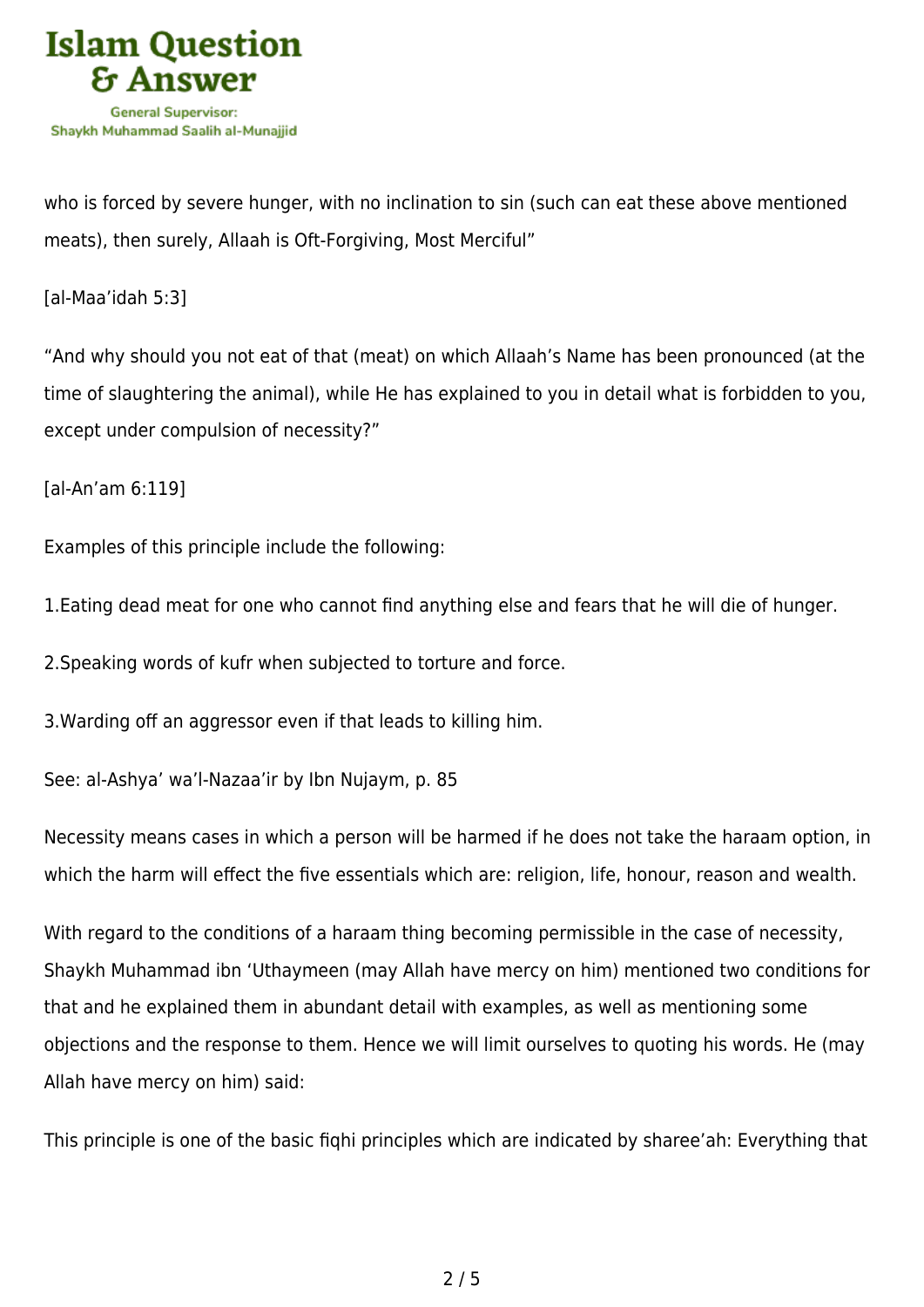

who is forced by severe hunger, with no inclination to sin (such can eat these above mentioned meats), then surely, Allaah is Oft-Forgiving, Most Merciful"

[al-Maa'idah 5:3]

"And why should you not eat of that (meat) on which Allaah's Name has been pronounced (at the time of slaughtering the animal), while He has explained to you in detail what is forbidden to you, except under compulsion of necessity?"

[al-An'am 6:119]

Examples of this principle include the following:

1.Eating dead meat for one who cannot find anything else and fears that he will die of hunger.

2.Speaking words of kufr when subjected to torture and force.

3.Warding off an aggressor even if that leads to killing him.

See: al-Ashya' wa'l-Nazaa'ir by Ibn Nujaym, p. 85

Necessity means cases in which a person will be harmed if he does not take the haraam option, in which the harm will effect the five essentials which are: religion, life, honour, reason and wealth.

With regard to the conditions of a haraam thing becoming permissible in the case of necessity, Shaykh Muhammad ibn 'Uthaymeen (may Allah have mercy on him) mentioned two conditions for that and he explained them in abundant detail with examples, as well as mentioning some objections and the response to them. Hence we will limit ourselves to quoting his words. He (may Allah have mercy on him) said:

This principle is one of the basic fiqhi principles which are indicated by sharee'ah: Everything that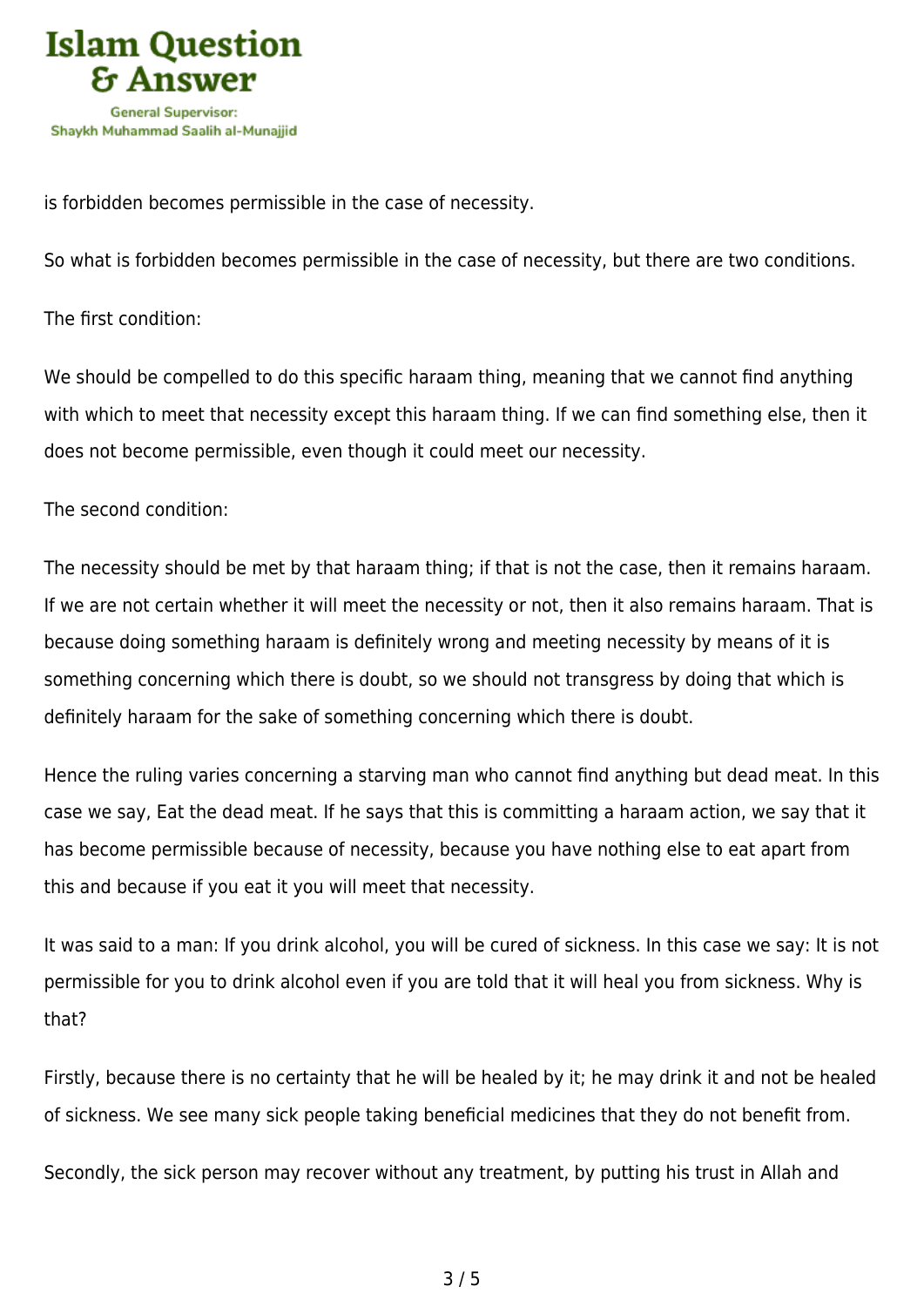

is forbidden becomes permissible in the case of necessity.

So what is forbidden becomes permissible in the case of necessity, but there are two conditions.

The first condition:

We should be compelled to do this specific haraam thing, meaning that we cannot find anything with which to meet that necessity except this haraam thing. If we can find something else, then it does not become permissible, even though it could meet our necessity.

The second condition:

The necessity should be met by that haraam thing; if that is not the case, then it remains haraam. If we are not certain whether it will meet the necessity or not, then it also remains haraam. That is because doing something haraam is definitely wrong and meeting necessity by means of it is something concerning which there is doubt, so we should not transgress by doing that which is definitely haraam for the sake of something concerning which there is doubt.

Hence the ruling varies concerning a starving man who cannot find anything but dead meat. In this case we say, Eat the dead meat. If he says that this is committing a haraam action, we say that it has become permissible because of necessity, because you have nothing else to eat apart from this and because if you eat it you will meet that necessity.

It was said to a man: If you drink alcohol, you will be cured of sickness. In this case we say: It is not permissible for you to drink alcohol even if you are told that it will heal you from sickness. Why is that?

Firstly, because there is no certainty that he will be healed by it; he may drink it and not be healed of sickness. We see many sick people taking beneficial medicines that they do not benefit from.

Secondly, the sick person may recover without any treatment, by putting his trust in Allah and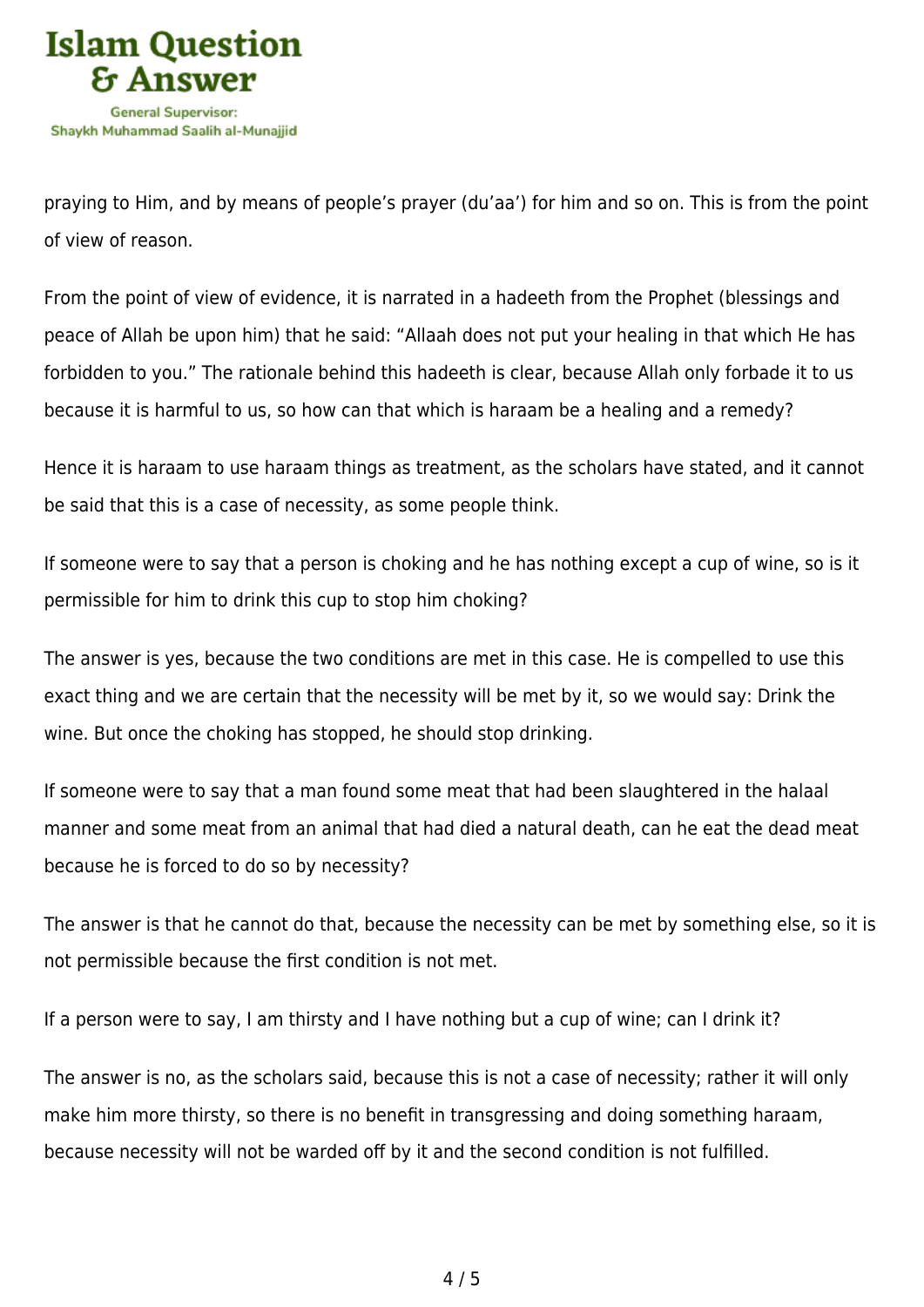

praying to Him, and by means of people's prayer (du'aa') for him and so on. This is from the point of view of reason.

From the point of view of evidence, it is narrated in a hadeeth from the Prophet (blessings and peace of Allah be upon him) that he said: "Allaah does not put your healing in that which He has forbidden to you." The rationale behind this hadeeth is clear, because Allah only forbade it to us because it is harmful to us, so how can that which is haraam be a healing and a remedy?

Hence it is haraam to use haraam things as treatment, as the scholars have stated, and it cannot be said that this is a case of necessity, as some people think.

If someone were to say that a person is choking and he has nothing except a cup of wine, so is it permissible for him to drink this cup to stop him choking?

The answer is yes, because the two conditions are met in this case. He is compelled to use this exact thing and we are certain that the necessity will be met by it, so we would say: Drink the wine. But once the choking has stopped, he should stop drinking.

If someone were to say that a man found some meat that had been slaughtered in the halaal manner and some meat from an animal that had died a natural death, can he eat the dead meat because he is forced to do so by necessity?

The answer is that he cannot do that, because the necessity can be met by something else, so it is not permissible because the first condition is not met.

If a person were to say, I am thirsty and I have nothing but a cup of wine; can I drink it?

The answer is no, as the scholars said, because this is not a case of necessity; rather it will only make him more thirsty, so there is no benefit in transgressing and doing something haraam, because necessity will not be warded off by it and the second condition is not fulfilled.